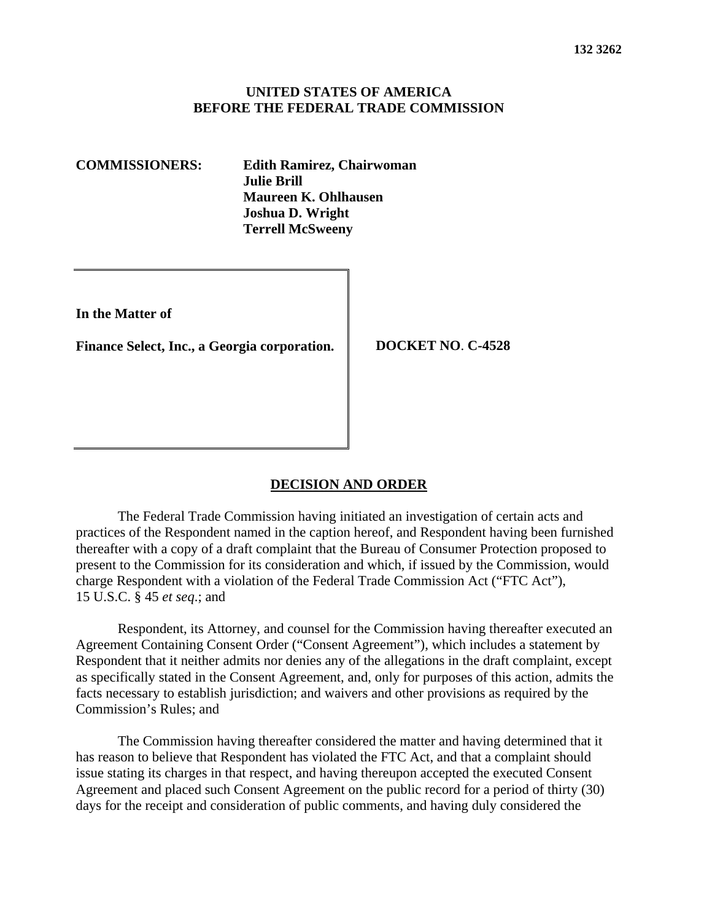### **UNITED STATES OF AMERICA BEFORE THE FEDERAL TRADE COMMISSION**

**COMMISSIONERS: Edith Ramirez, Chairwoman Julie Brill Maureen K. Ohlhausen Joshua D. Wright Terrell McSweeny**

**In the Matter of**

**Finance Select, Inc., a Georgia corporation. DOCKET NO**. **C-4528**

#### **DECISION AND ORDER**

The Federal Trade Commission having initiated an investigation of certain acts and practices of the Respondent named in the caption hereof, and Respondent having been furnished thereafter with a copy of a draft complaint that the Bureau of Consumer Protection proposed to present to the Commission for its consideration and which, if issued by the Commission, would charge Respondent with a violation of the Federal Trade Commission Act ("FTC Act"), 15 U.S.C. § 45 *et seq*.; and

Respondent, its Attorney, and counsel for the Commission having thereafter executed an Agreement Containing Consent Order ("Consent Agreement"), which includes a statement by Respondent that it neither admits nor denies any of the allegations in the draft complaint, except as specifically stated in the Consent Agreement, and, only for purposes of this action, admits the facts necessary to establish jurisdiction; and waivers and other provisions as required by the Commission's Rules; and

The Commission having thereafter considered the matter and having determined that it has reason to believe that Respondent has violated the FTC Act, and that a complaint should issue stating its charges in that respect, and having thereupon accepted the executed Consent Agreement and placed such Consent Agreement on the public record for a period of thirty (30) days for the receipt and consideration of public comments, and having duly considered the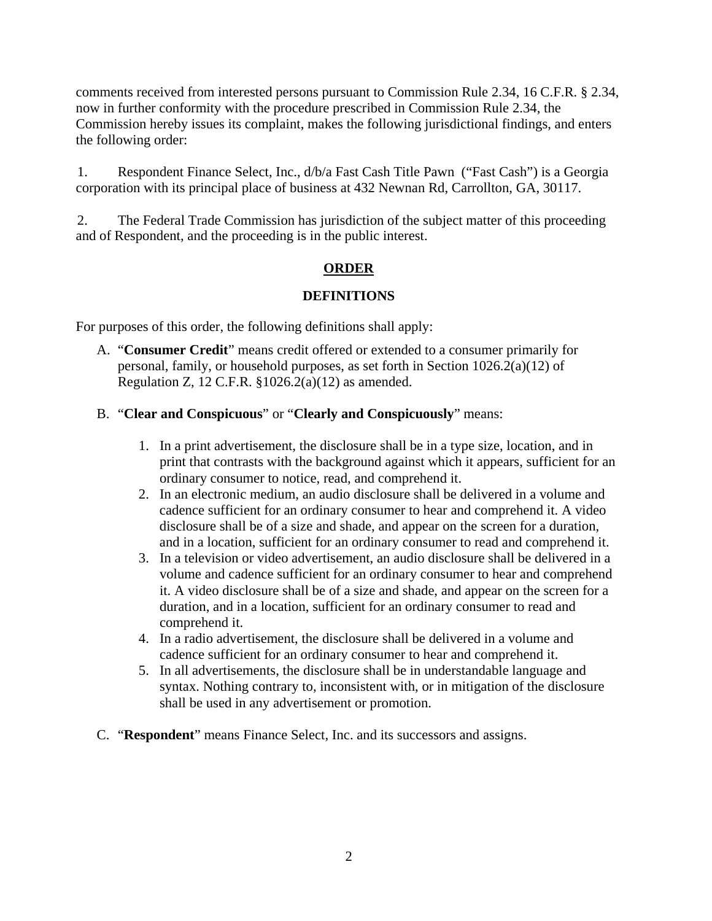comments received from interested persons pursuant to Commission Rule 2.34, 16 C.F.R. § 2.34, now in further conformity with the procedure prescribed in Commission Rule 2.34, the Commission hereby issues its complaint, makes the following jurisdictional findings, and enters the following order:

1. Respondent Finance Select, Inc., d/b/a Fast Cash Title Pawn ("Fast Cash") is a Georgia corporation with its principal place of business at 432 Newnan Rd, Carrollton, GA, 30117.

2. The Federal Trade Commission has jurisdiction of the subject matter of this proceeding and of Respondent, and the proceeding is in the public interest.

# **ORDER**

## **DEFINITIONS**

For purposes of this order, the following definitions shall apply:

A. "**Consumer Credit**" means credit offered or extended to a consumer primarily for personal, family, or household purposes, as set forth in Section 1026.2(a)(12) of Regulation Z, 12 C.F.R. §1026.2(a)(12) as amended.

## B. "**Clear and Conspicuous**" or "**Clearly and Conspicuously**" means:

- 1. In a print advertisement, the disclosure shall be in a type size, location, and in print that contrasts with the background against which it appears, sufficient for an ordinary consumer to notice, read, and comprehend it.
- 2. In an electronic medium, an audio disclosure shall be delivered in a volume and cadence sufficient for an ordinary consumer to hear and comprehend it. A video disclosure shall be of a size and shade, and appear on the screen for a duration, and in a location, sufficient for an ordinary consumer to read and comprehend it.
- 3. In a television or video advertisement, an audio disclosure shall be delivered in a volume and cadence sufficient for an ordinary consumer to hear and comprehend it. A video disclosure shall be of a size and shade, and appear on the screen for a duration, and in a location, sufficient for an ordinary consumer to read and comprehend it.
- 4. In a radio advertisement, the disclosure shall be delivered in a volume and cadence sufficient for an ordinary consumer to hear and comprehend it.
- 5. In all advertisements, the disclosure shall be in understandable language and syntax. Nothing contrary to, inconsistent with, or in mitigation of the disclosure shall be used in any advertisement or promotion.
- C. "**Respondent**" means Finance Select, Inc. and its successors and assigns.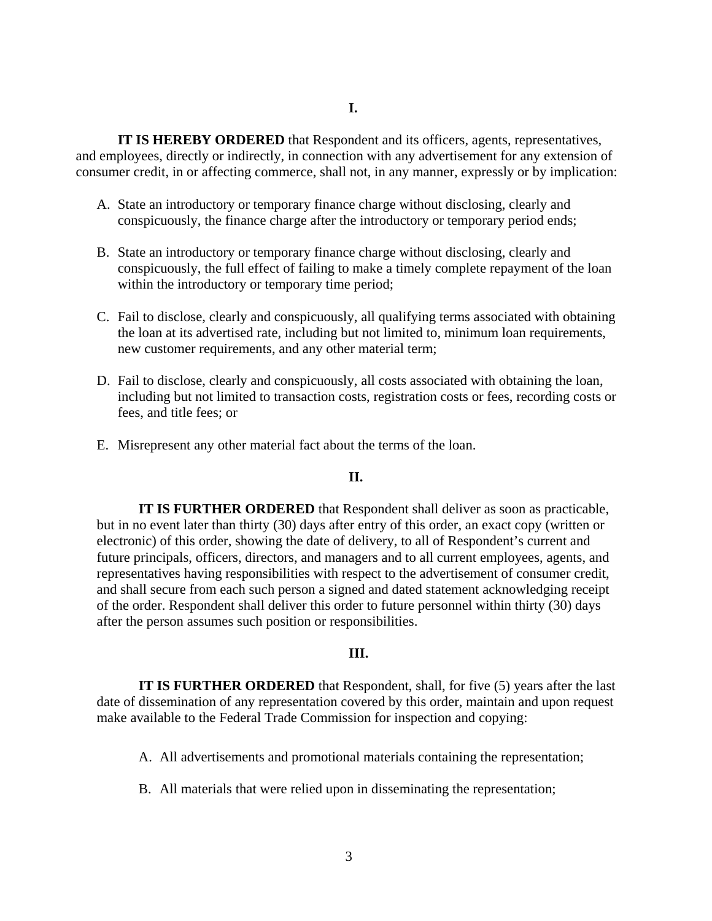### **I.**

**IT IS HEREBY ORDERED** that Respondent and its officers, agents, representatives, and employees, directly or indirectly, in connection with any advertisement for any extension of consumer credit, in or affecting commerce, shall not, in any manner, expressly or by implication:

- A. State an introductory or temporary finance charge without disclosing, clearly and conspicuously, the finance charge after the introductory or temporary period ends;
- B. State an introductory or temporary finance charge without disclosing, clearly and conspicuously, the full effect of failing to make a timely complete repayment of the loan within the introductory or temporary time period;
- C. Fail to disclose, clearly and conspicuously, all qualifying terms associated with obtaining the loan at its advertised rate, including but not limited to, minimum loan requirements, new customer requirements, and any other material term;
- D. Fail to disclose, clearly and conspicuously, all costs associated with obtaining the loan, including but not limited to transaction costs, registration costs or fees, recording costs or fees, and title fees; or
- E. Misrepresent any other material fact about the terms of the loan.

### **II.**

**IT IS FURTHER ORDERED** that Respondent shall deliver as soon as practicable, but in no event later than thirty (30) days after entry of this order, an exact copy (written or electronic) of this order, showing the date of delivery, to all of Respondent's current and future principals, officers, directors, and managers and to all current employees, agents, and representatives having responsibilities with respect to the advertisement of consumer credit, and shall secure from each such person a signed and dated statement acknowledging receipt of the order. Respondent shall deliver this order to future personnel within thirty (30) days after the person assumes such position or responsibilities.

#### **III.**

**IT IS FURTHER ORDERED** that Respondent, shall, for five (5) years after the last date of dissemination of any representation covered by this order, maintain and upon request make available to the Federal Trade Commission for inspection and copying:

- A. All advertisements and promotional materials containing the representation;
- B. All materials that were relied upon in disseminating the representation;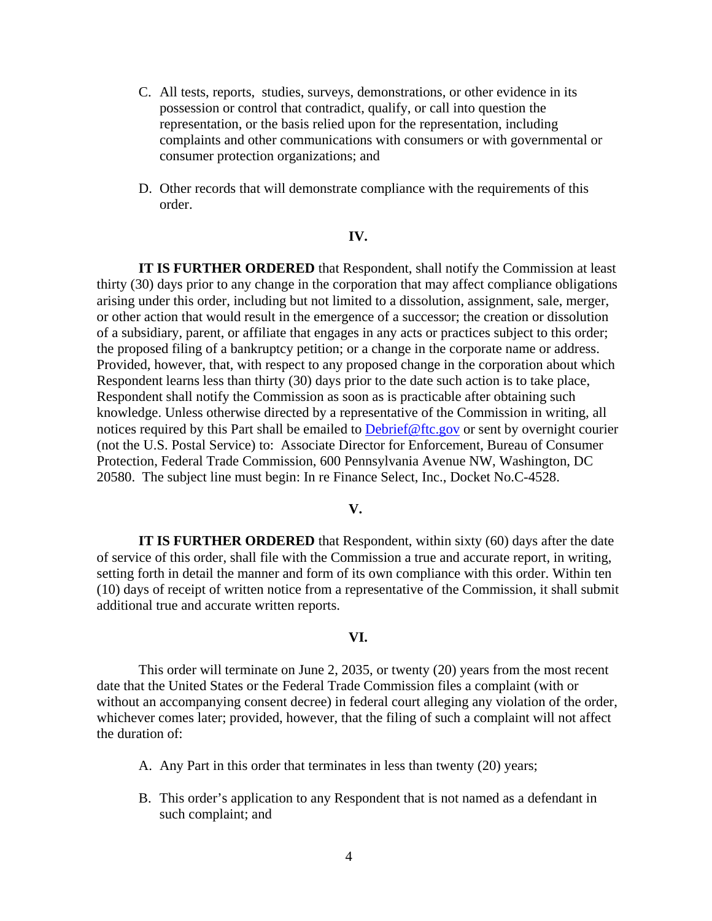- C. All tests, reports, studies, surveys, demonstrations, or other evidence in its possession or control that contradict, qualify, or call into question the representation, or the basis relied upon for the representation, including complaints and other communications with consumers or with governmental or consumer protection organizations; and
- D. Other records that will demonstrate compliance with the requirements of this order.

#### **IV.**

**IT IS FURTHER ORDERED** that Respondent, shall notify the Commission at least thirty (30) days prior to any change in the corporation that may affect compliance obligations arising under this order, including but not limited to a dissolution, assignment, sale, merger, or other action that would result in the emergence of a successor; the creation or dissolution of a subsidiary, parent, or affiliate that engages in any acts or practices subject to this order; the proposed filing of a bankruptcy petition; or a change in the corporate name or address. Provided, however, that, with respect to any proposed change in the corporation about which Respondent learns less than thirty (30) days prior to the date such action is to take place, Respondent shall notify the Commission as soon as is practicable after obtaining such knowledge. Unless otherwise directed by a representative of the Commission in writing, all notices required by this Part shall be emailed to [Debrief@ftc.gov](mailto:Debrief@ftc.gov) or sent by overnight courier (not the U.S. Postal Service) to: Associate Director for Enforcement, Bureau of Consumer Protection, Federal Trade Commission, 600 Pennsylvania Avenue NW, Washington, DC 20580. The subject line must begin: In re Finance Select, Inc., Docket No.C-4528.

#### **V.**

**IT IS FURTHER ORDERED** that Respondent, within sixty (60) days after the date of service of this order, shall file with the Commission a true and accurate report, in writing, setting forth in detail the manner and form of its own compliance with this order. Within ten (10) days of receipt of written notice from a representative of the Commission, it shall submit additional true and accurate written reports.

## **VI.**

This order will terminate on June 2, 2035, or twenty (20) years from the most recent date that the United States or the Federal Trade Commission files a complaint (with or without an accompanying consent decree) in federal court alleging any violation of the order, whichever comes later; provided, however, that the filing of such a complaint will not affect the duration of:

- A. Any Part in this order that terminates in less than twenty (20) years;
- B. This order's application to any Respondent that is not named as a defendant in such complaint; and